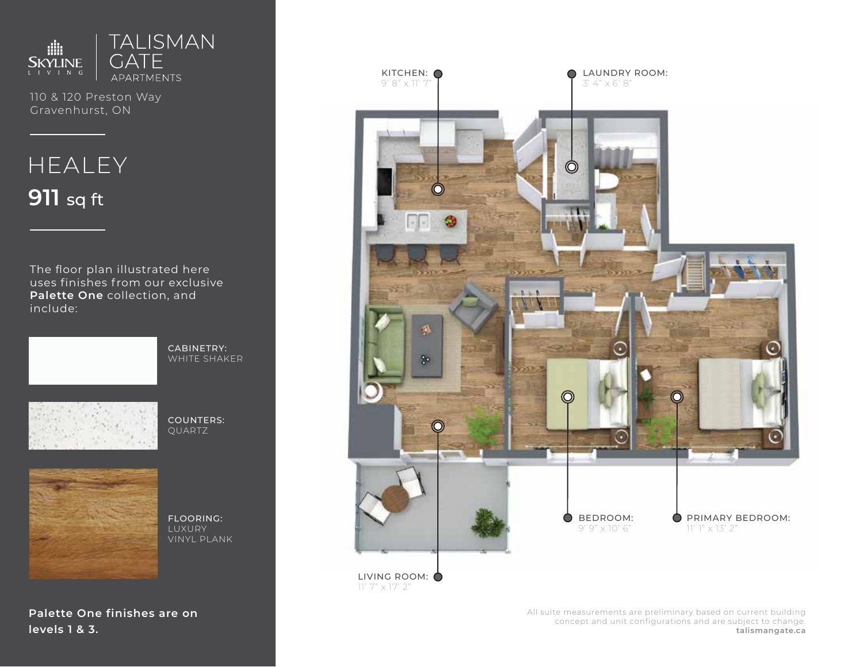

110 & 120 Preston Way Gravenhurst, ON

# **HEALEY 911** sq ft

The floor plan illustrated here uses finishes from our exclusive **Palette One** collection, and include:



CABINETRY: WHITE SHAKER



COUNTERS: QUARTZ



FLOORING: LUXURY VINYL PLANK

**Palette One finishes are on levels 1 & 3.**



All suite measurements are preliminary based on current building concept and unit configurations and are subject to change. **talismangate.ca**